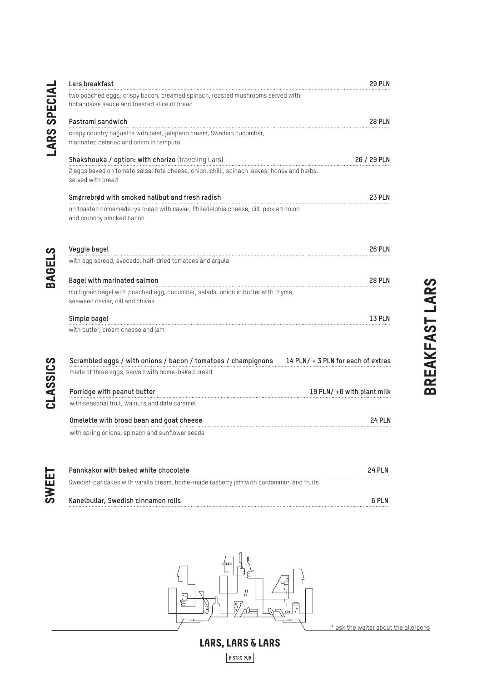|               | Lars breakfast                                                                                                                 | <b>29 PLN</b>                      |
|---------------|--------------------------------------------------------------------------------------------------------------------------------|------------------------------------|
| SPECIA        | two poached eggs, crispy bacon, creamed spinach, roasted mushrooms served with<br>hollandaise sauce and toasted slice of bread |                                    |
| <b>LARS</b>   | Pastrami sandwich                                                                                                              | <b>28 PLN</b>                      |
|               | crispy country baguette with beef, jalapeno cream, Swedish cucumber,<br>marinated celeriac and onion in tempura                |                                    |
|               | Shakshouka / option: with chorizo (traveling Lars)                                                                             | 26 / 29 PLN                        |
|               | 2 eggs baked on tomato salsa, feta cheese, onion, chilli, spinach leaves, honey and herbs,<br>served with bread                |                                    |
|               | Smørrebrød with smoked halibut and fresh radish                                                                                | 23 PLN                             |
|               | on toasted homemade rye bread with caviar, Philadelphia cheese, dill, pickled onion<br>and crunchy smoked bacon                |                                    |
|               | Veggie bagel                                                                                                                   | <b>26 PLN</b>                      |
|               | with egg spread, avocado, half-dried tomatoes and argula                                                                       |                                    |
| <b>BAGELS</b> | Bagel with marinated salmon                                                                                                    | <b>28 PLN</b>                      |
|               | multigrain bagel with poached egg, cucumber, salads, onion in butter with thyme,<br>seaweed caviar, dill and chives            |                                    |
|               | Simple bagel                                                                                                                   | 13 PLN                             |
|               | with butter, cream cheese and jam                                                                                              |                                    |
|               | Scrambled eggs / with onions / bacon / tomatoes / champignons                                                                  | 14 PLN/ + 3 PLN for each of extras |
|               | made of three eggs, served with home-baked bread                                                                               |                                    |
| CLASSICS      | Porridge with peanut butter                                                                                                    | 19 PLN/ +6 with plant milk         |
|               | with seasonal fruit, walnuts and date caramel                                                                                  |                                    |
|               | Omelette with broad bean and goat cheese                                                                                       | 24 PLN                             |
|               | with spring onions, spinach and sunflower seeds                                                                                |                                    |
|               |                                                                                                                                |                                    |

| Pannkakor with baked white chocolate                                                  | <b>24 PLN</b> |
|---------------------------------------------------------------------------------------|---------------|
| Swedish pancakes with vanilla cream, home-made rasberry jam with cardammon and fruits |               |
| Kanelbullar, Swedish cinnamon rolls                                                   | 6 PLN         |



**BISTRO PUB** 

\* ask the waiter about the allergens

BREAKFAST LARS BREAKFAST LARS

CLASSICS CLASSICS

sweet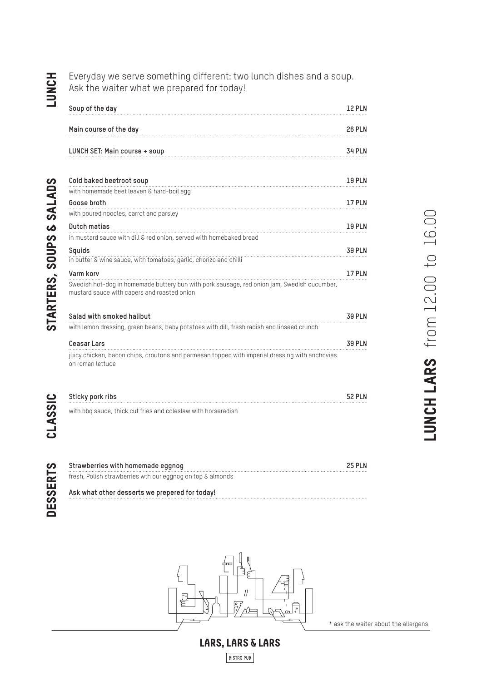# LUNCH

DESSERTS STARTERS, SOUPS & SALADS

**DESSERTS** 

STARTERS, SOUPS & SALADS

Everyday we serve something different: two lunch dishes and a soup. Ask the waiter what we prepared for today!

| Soup of the day                                                                                                                            | <b>12 PLN</b> |
|--------------------------------------------------------------------------------------------------------------------------------------------|---------------|
| Main course of the day                                                                                                                     | <b>26 PLN</b> |
| LUNCH SET: Main course + soup                                                                                                              | <b>34 PLN</b> |
| Cold baked beetroot soup                                                                                                                   | <b>19 PLN</b> |
| with homemade beet leaven & hard-boil egg                                                                                                  |               |
| Goose broth                                                                                                                                | 17 PLN        |
| with poured noodles, carrot and parsley                                                                                                    |               |
| Dutch matias                                                                                                                               | <b>19 PLN</b> |
| in mustard sauce with dill & red onion, served with homebaked bread                                                                        |               |
| Squids<br>in butter & wine sauce, with tomatoes, garlic, chorizo and chilli                                                                | 39 PLN        |
| Varm korv                                                                                                                                  | 17 PLN        |
| Swedish hot-dog in homemade buttery bun with pork sausage, red onion jam, Swedish cucumber,<br>mustard sauce with capers and roasted onion |               |
| Salad with smoked halibut                                                                                                                  | <b>39 PLN</b> |
| with lemon dressing, green beans, baby potatoes with dill, fresh radish and linseed crunch                                                 |               |
| <b>Ceasar Lars</b>                                                                                                                         | <b>39 PLN</b> |
| juicy chicken, bacon chips, croutons and parmesan topped with imperial dressing with anchovies<br>on roman lettuce                         |               |
|                                                                                                                                            | <b>52 PLN</b> |
| with bbq sauce, thick cut fries and coleslaw with horseradish                                                                              |               |
|                                                                                                                                            |               |
|                                                                                                                                            |               |

**Strawberries with homemade eggnog 25 PLN** fresh, Polish strawberries wth our eggnog on top & almonds

**Ask what other desserts we prepered for today!**



\* ask the waiter about the allergens

### LARS, LARS & LARS

**BISTRO PUB**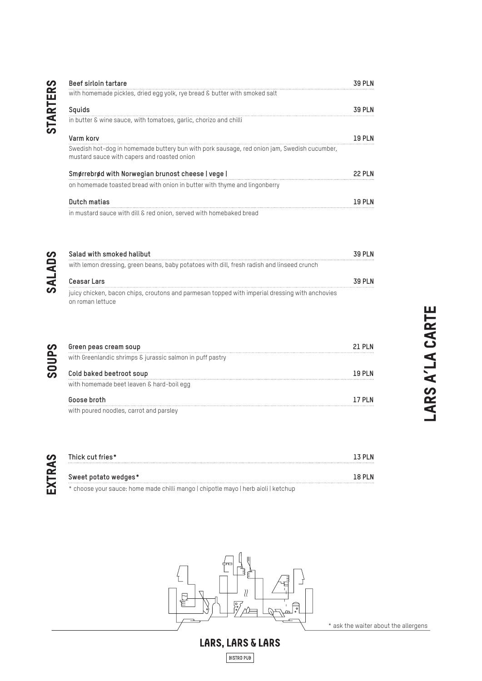| ۰,<br>٦ |  |
|---------|--|
| ۳       |  |
|         |  |
|         |  |
| г       |  |
|         |  |
|         |  |
|         |  |

| Beef sirloin tartare                                                                                                                       | <b>39 PLN</b> |
|--------------------------------------------------------------------------------------------------------------------------------------------|---------------|
| with homemade pickles, dried egg yolk, rye bread & butter with smoked salt                                                                 |               |
| Squids                                                                                                                                     | <b>39 PLN</b> |
| in butter & wine sauce, with tomatoes, garlic, chorizo and chilli                                                                          |               |
| Varm korv                                                                                                                                  | 19 PLN        |
| Swedish hot-dog in homemade buttery bun with pork sausage, red onion jam, Swedish cucumber,<br>mustard sauce with capers and roasted onion |               |
| Smørrebrød with Norwegian brunost cheese   vege                                                                                            | 22 PI N       |
| on homemade toasted bread with onion in butter with thyme and lingonberry                                                                  |               |
| Dutch matias                                                                                                                               | 19 PI N       |
| in mustard sauce with dill & red onion, served with homebaked bread                                                                        |               |

| Salad with smoked halibut<br>with lemon dressing, green beans, baby potatoes with dill, fresh radish and linseed crunch |         |
|-------------------------------------------------------------------------------------------------------------------------|---------|
| Ceasar Lars                                                                                                             | 39 PI N |
| juicy chicken, bacon chips, croutons and parmesan topped with imperial dressing with anchovies<br>on roman lettuce      |         |

| Green peas cream soup                                                              | ARS A'LA CARTE<br>21 PLN             |
|------------------------------------------------------------------------------------|--------------------------------------|
| with Greenlandic shrimps & jurassic salmon in puff pastry                          |                                      |
| Cold baked beetroot soup                                                           | <b>19 PLN</b>                        |
| with homemade beet leaven & hard-boil egg                                          |                                      |
| Goose broth                                                                        | 17 PLN                               |
| with poured noodles, carrot and parsley                                            |                                      |
| Thick cut fries*                                                                   | 13 PLN                               |
| Sweet potato wedges*                                                               | <b>18 PLN</b>                        |
| * choose your sauce: home made chilli mango   chipotle mayo   herb aioli   ketchup |                                      |
|                                                                                    |                                      |
|                                                                                    |                                      |
| ₹                                                                                  |                                      |
| ㅎ                                                                                  | * ask the waiter about the allergens |



SOUPS

| Thick cut fries*                                                                                                 | 13 PI N |
|------------------------------------------------------------------------------------------------------------------|---------|
|                                                                                                                  |         |
| Sweet potato wedges*                                                                                             | 18 PI N |
| which is a conservation of the complete of the change of the base of the conservation of the Conservation of the |         |



LARS, LARS & LARS

BISTRO PUB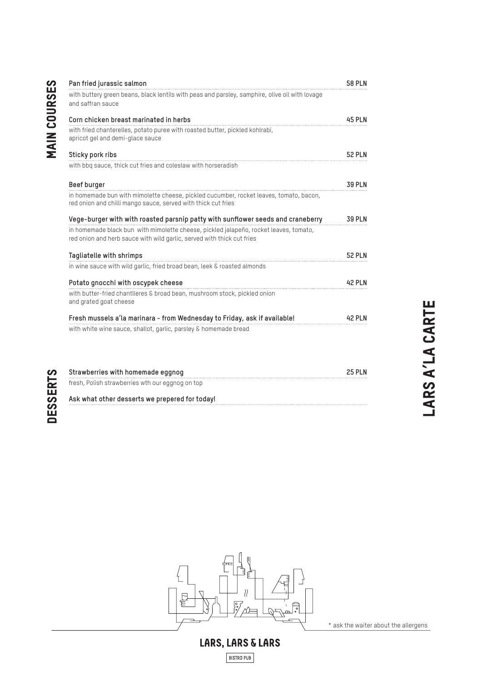| with buttery green beans, black lentils with peas and parsley, samphire, olive oil with lovage<br>and saffran sauce                                             |               |
|-----------------------------------------------------------------------------------------------------------------------------------------------------------------|---------------|
|                                                                                                                                                                 |               |
| Corn chicken breast marinated in herbs                                                                                                                          | <b>45 PLN</b> |
| with fried chanterelles, potato puree with roasted butter, pickled kohlrabi,<br>apricot gel and demi-glace sauce                                                |               |
| Sticky pork ribs                                                                                                                                                | <b>52 PLN</b> |
| with bbq sauce, thick cut fries and coleslaw with horseradish                                                                                                   |               |
| Beef burger                                                                                                                                                     | <b>39 PLN</b> |
| in homemade bun with mimolette cheese, pickled cucumber, rocket leaves, tomato, bacon,<br>red onion and chilli mango sauce, served with thick cut fries         |               |
| Vege-burger with with roasted parsnip patty with sunflower seeds and craneberry                                                                                 | <b>39 PLN</b> |
| in homemade black bun with mimolette cheese, pickled jalapeño, rocket leaves, tomato,<br>red onion and herb sauce with wild garlic, served with thick cut fries |               |
| Tagliatelle with shrimps                                                                                                                                        | <b>52 PLN</b> |
| in wine sauce with wild garlic, fried broad bean, leek & roasted almonds                                                                                        |               |
| Potato gnocchi with oscypek cheese                                                                                                                              | <b>42 PLN</b> |
| with butter-fried chantlleres & broad bean, mushroom stock, pickled onion<br>and grated goat cheese                                                             |               |
| Fresh mussels a'la marinara - from Wednesday to Friday, ask if available!                                                                                       | <b>42 PLN</b> |
| with white wine sauce, shallot, garlic, parsley & homemade bread                                                                                                |               |
| Strawberries with homemade eggnog                                                                                                                               | <b>25 PLN</b> |
| fresh, Polish strawberries wth our eggnog on top                                                                                                                |               |
|                                                                                                                                                                 |               |



\* ask the waiter about the allergens

# LARS, LARS & LARS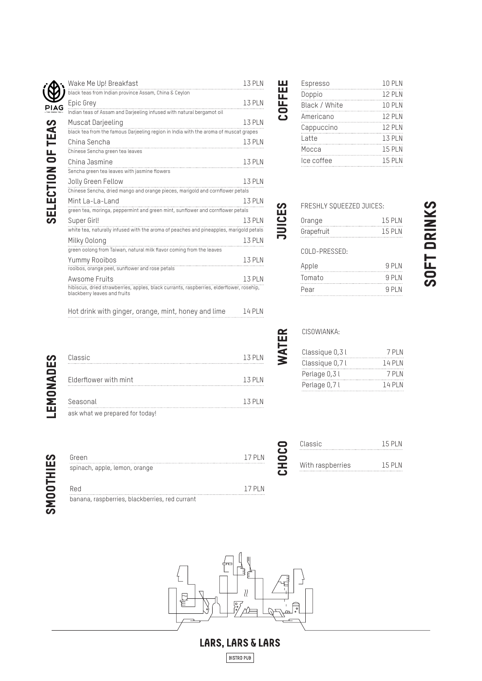| Į<br><b>SELECTION OF THE SELES</b><br>I |  |
|-----------------------------------------|--|
|                                         |  |
| LONG                                    |  |

| Wake Me Up! Breakfast                                                                                                    | <b>13 PLN</b> |
|--------------------------------------------------------------------------------------------------------------------------|---------------|
| black teas from Indian province Assam, China & Ceylon                                                                    |               |
| Epic Grey                                                                                                                | 1.3 PI N      |
| Indian teas of Assam and Darjeeling infused with natural bergamot oil                                                    |               |
| Muscat Darjeeling                                                                                                        | <b>13 PLN</b> |
| black tea from the famous Darjeeling region in India with the aroma of muscat grapes                                     |               |
| China Sencha                                                                                                             | <b>13 PLN</b> |
| Chinese Sencha green tea leaves                                                                                          |               |
| China Jasmine                                                                                                            | <b>13 PLN</b> |
| Sencha green tea leaves with jasmine flowers                                                                             |               |
| Jolly Green Fellow                                                                                                       | <b>13 PLN</b> |
|                                                                                                                          |               |
| Mint La-La-Land                                                                                                          | <b>13 PLN</b> |
| green tea, moringa, peppermint and green mint, sunflower and cornflower petals                                           |               |
| Super Girl!                                                                                                              | 1.3 PIN       |
| white tea, naturally infused with the aroma of peaches and pineapples, marigold petals                                   |               |
| Milky Oolong                                                                                                             | <b>13 PLN</b> |
| green oolong from Taiwan, natural milk flavor coming from the leaves                                                     |               |
| Yummy Rooibos                                                                                                            | <b>13 PLN</b> |
| rooibos, orange peel, sunflower and rose petals                                                                          |               |
| Awsome Fruits                                                                                                            | 13 PI N       |
| hibiscus, dried strawberries, apples, black currants, raspberries, elderflower, rosehip,<br>blackberry leaves and fruits |               |
|                                                                                                                          |               |

| Espresso      | <b>10 PLN</b> |
|---------------|---------------|
| Doppio        | 12 PI N       |
| Black / White | <b>10 PLN</b> |
| Americano     | <b>12 PLN</b> |
| Cappuccino    | <b>12 PLN</b> |
| Latte         | <b>13 PLN</b> |
| Мосса         | <b>15 PLN</b> |
| lce coffee    | <b>15 PLN</b> |
|               |               |

FRESHLY SQUEEZED JUICES:

Orange 15 PLN<br>Grapefruit 15 PLN<br>15 PLN

Apple 9 PLN Tomato 9 PLN Pear 9 PLN

smoothies

**SMOOTHIES** 

| Classic                         | 1.3 PI N |
|---------------------------------|----------|
| Elderflower with mint           | 1.3 PI N |
| Seasonal                        | 1.3 PI N |
| ask what we prepared for today! |          |

Hot drink with ginger, orange, mint, honey and lime 14 PLN

| Green                         |  |  |  | 17 PI N |
|-------------------------------|--|--|--|---------|
|                               |  |  |  |         |
|                               |  |  |  |         |
| spinach, apple, lemon, orange |  |  |  |         |

banana, raspberries, blackberries, red currant

### CISOWIANKA:

Grapefruit

COLD-PRESSED:

JUICES

WATER

COFFEE

| Classique 0,3l | 7 PI N  |
|----------------|---------|
| Classique 0,7l | 14 PI N |
| Perlage 0,3l   | 7 PI N  |
| Perlage 0,71   | 14 PI N |

| 15 PI N |
|---------|
|         |
| 15 PI N |
|         |



## LARS, LARS & LARS

**BISTRO PUB**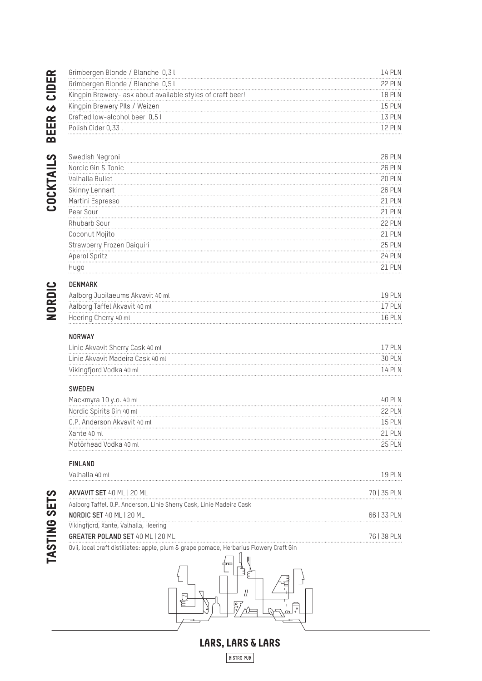|                     | Grimbergen Blonde / Blanche 0,31                                                       | 14 PLN        |
|---------------------|----------------------------------------------------------------------------------------|---------------|
|                     | Grimbergen Blonde / Blanche 0,51                                                       | 22 PLN        |
| CIDER               |                                                                                        | <b>18 PLN</b> |
| <b>W</b>            | Kingpin Brewery Plls / Weizen                                                          | <b>15 PLN</b> |
|                     | Crafted low-alcohol beer 0,51                                                          | 13 PLN        |
| <b>BEER</b>         | Polish Cider 0,33 l                                                                    | 12 PLN        |
| COCKTAILS           | Swedish Negroni                                                                        | <b>26 PLN</b> |
|                     | Nordic Gin & Tonic                                                                     | <b>26 PLN</b> |
|                     | Valhalla Bullet                                                                        | <b>20 PLN</b> |
|                     | Skinny Lennart                                                                         | 26 PLN        |
|                     | Martini Espresso                                                                       | 21 PLN        |
|                     | Pear Sour                                                                              | 21 PLN        |
|                     | Rhubarb Sour                                                                           | 22 PLN        |
|                     | Coconut Mojito                                                                         | 21 PLN        |
|                     | Strawberry Frozen Daiquiri                                                             | 25 PLN        |
|                     | Aperol Spritz                                                                          | 24 PLN        |
|                     | Hugo                                                                                   | 21 PLN        |
| NORDIC              | <b>DENMARK</b>                                                                         |               |
|                     | Aalborg Jubilaeums Akvavit 40 ml                                                       | <b>19 PLN</b> |
|                     | Aalborg Taffel Akvavit 40 ml                                                           | 17 PLN        |
|                     | Heering Cherry 40 ml                                                                   | 16 PLN        |
|                     | <b>NORWAY</b>                                                                          |               |
|                     | Linie Akvavit Sherry Cask 40 ml                                                        | 17 PLN        |
|                     | Linie Akvavit Madeira Cask 40 ml                                                       | <b>30 PLN</b> |
|                     | Vikingfjord Vodka 40 ml                                                                | 14 PLN        |
|                     | <b>SWEDEN</b>                                                                          |               |
|                     | Mackmyra 10 y.o. 40 ml                                                                 | <b>40 PLN</b> |
|                     | Nordic Spirits Gin 40 ml                                                               | <b>22 PLN</b> |
|                     | 0.P. Anderson Akvavit 40 ml                                                            | 15 PLN        |
|                     | Xante 40 ml                                                                            | 21 PLN        |
|                     | Motörhead Vodka 40 ml                                                                  | <b>25 PLN</b> |
|                     | <b>FINLAND</b>                                                                         |               |
|                     | Valhalla 40 ml                                                                         | 19 PLN        |
|                     | AKVAVIT SET 40 ML   20 ML                                                              | 70   35 PLN   |
|                     | Aalborg Taffel, O.P. Anderson, Linie Sherry Cask, Linie Madeira Cask                   |               |
|                     | NORDIC SET 40 ML   20 ML                                                               | 66   33 PLN   |
|                     | Vikingfjord, Xante, Valhalla, Heering                                                  |               |
|                     | GREATER POLAND SET 40 ML   20 ML                                                       | 76   38 PLN   |
| <b>TASTING SETS</b> | Ovii, local craft distillates: apple, plum & grape pomace, Herbarius Flowery Craft Gin |               |
|                     |                                                                                        |               |
|                     |                                                                                        |               |

# NORDIC

LARS, LARS & LARS **BISTRO PUB** 

 $\lambda$ 

 $\frac{1}{2}$  $\wedge$   $\begin{array}{c} \n \mathbb{E} \n \end{array}$